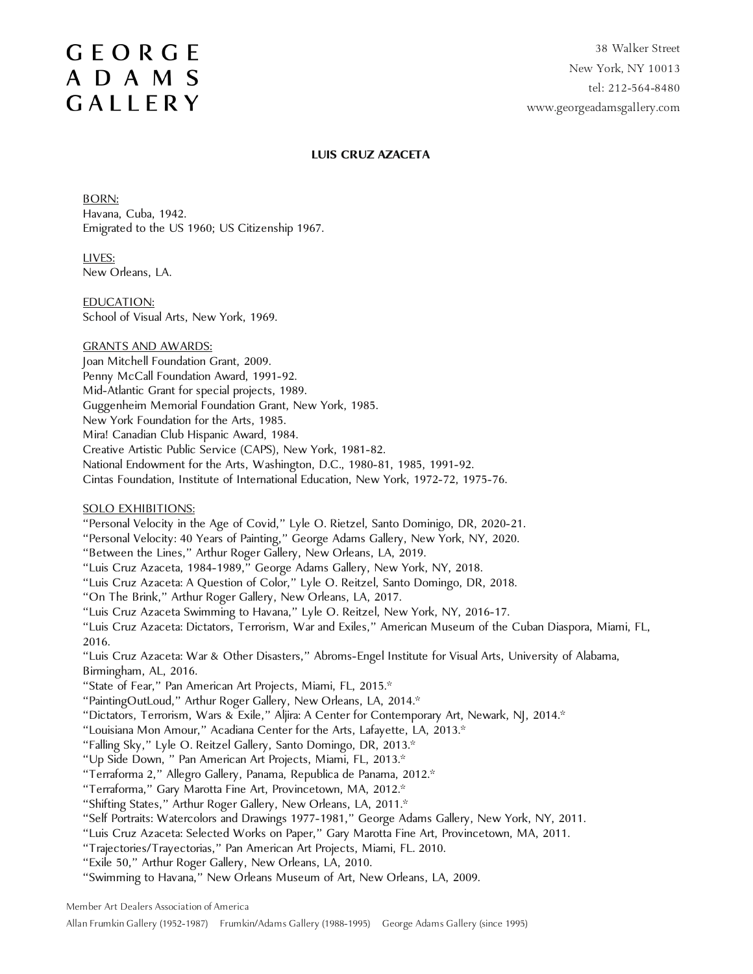#### **LUIS CRUZ AZACETA**

BORN: Havana, Cuba, 1942. Emigrated to the US 1960; US Citizenship 1967.

LIVES: New Orleans, LA.

EDUCATION: School of Visual Arts, New York, 1969.

#### GRANTS AND AWARDS: Joan Mitchell Foundation Grant, 2009. Penny McCall Foundation Award, 1991-92. Mid-Atlantic Grant for special projects, 1989. Guggenheim Memorial Foundation Grant, New York, 1985. New York Foundation for the Arts, 1985. Mira! Canadian Club Hispanic Award, 1984. Creative Artistic Public Service (CAPS), New York, 1981-82. National Endowment for the Arts, Washington, D.C., 1980-81, 1985, 1991-92. Cintas Foundation, Institute of International Education, New York, 1972-72, 1975-76.

#### SOLO EXHIBITIONS:

"Personal Velocity in the Age of Covid," Lyle O. Rietzel, Santo Dominigo, DR, 2020-21.

"Personal Velocity: 40 Years of Painting," George Adams Gallery, New York, NY, 2020.

"Between the Lines," Arthur Roger Gallery, New Orleans, LA, 2019.

"Luis Cruz Azaceta, 1984-1989," George Adams Gallery, New York, NY, 2018.

"Luis Cruz Azaceta: A Question of Color," Lyle O. Reitzel, Santo Domingo, DR, 2018.

"On The Brink," Arthur Roger Gallery, New Orleans, LA, 2017.

"Luis Cruz Azaceta Swimming to Havana," Lyle O. Reitzel, New York, NY, 2016-17.

"Luis Cruz Azaceta: Dictators, Terrorism, War and Exiles," American Museum of the Cuban Diaspora, Miami, FL, 2016.

"Luis Cruz Azaceta: War & Other Disasters," Abroms-Engel Institute for Visual Arts, University of Alabama, Birmingham, AL, 2016.

"State of Fear," Pan American Art Projects, Miami, FL, 2015.\*

"PaintingOutLoud," Arthur Roger Gallery, New Orleans, LA, 2014.\*

"Dictators, Terrorism, Wars & Exile," Aljira: A Center for Contemporary Art, Newark, NJ, 2014.\*

"Louisiana Mon Amour," Acadiana Center for the Arts, Lafayette, LA, 2013.\*

"Falling Sky," Lyle O. Reitzel Gallery, Santo Domingo, DR, 2013.\*

"Up Side Down, " Pan American Art Projects, Miami, FL, 2013.\*

"Terraforma 2," Allegro Gallery, Panama, Republica de Panama, 2012.\*

"Terraforma," Gary Marotta Fine Art, Provincetown, MA, 2012.\*

"Shifting States," Arthur Roger Gallery, New Orleans, LA, 2011.\*

"Self Portraits: Watercolors and Drawings 1977-1981," George Adams Gallery, New York, NY, 2011.

"Luis Cruz Azaceta: Selected Works on Paper," Gary Marotta Fine Art, Provincetown, MA, 2011.

"Trajectories/Trayectorias," Pan American Art Projects, Miami, FL. 2010.

"Exile 50," Arthur Roger Gallery, New Orleans, LA, 2010.

"Swimming to Havana," New Orleans Museum of Art, New Orleans, LA, 2009.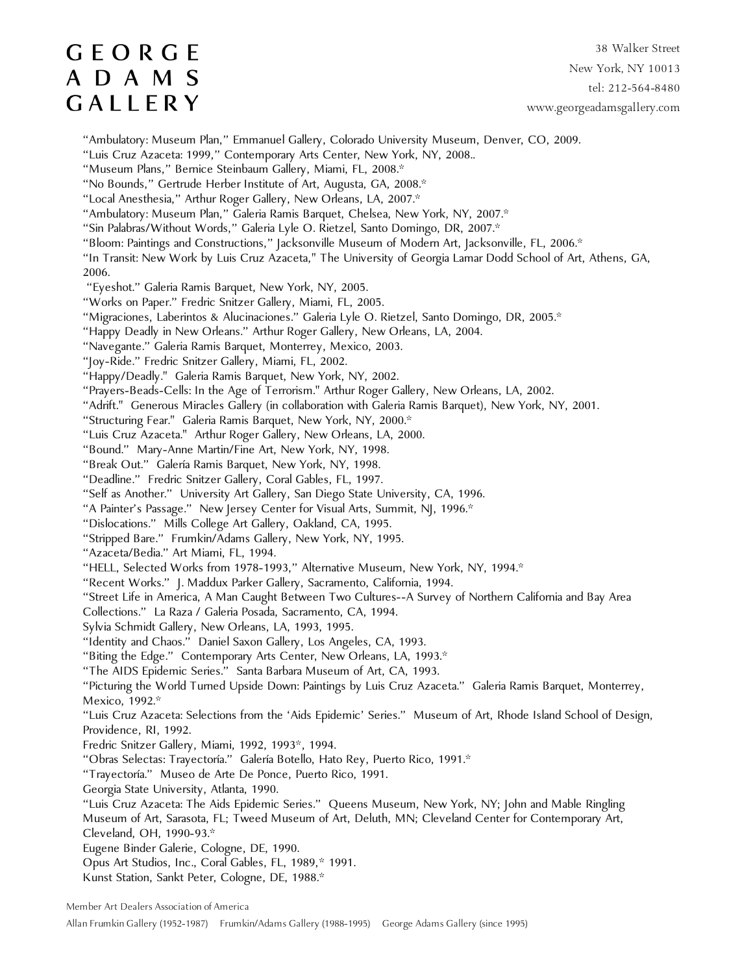38 Walker Street New York, NY 10013 tel: 212-564-8480 www.georgeadamsgallery.com

"Ambulatory: Museum Plan," Emmanuel Gallery, Colorado University Museum, Denver, CO, 2009.

"Luis Cruz Azaceta: 1999," Contemporary Arts Center, New York, NY, 2008..

"Museum Plans," Bernice Steinbaum Gallery, Miami, FL, 2008.\*

"No Bounds," Gertrude Herber Institute of Art, Augusta, GA, 2008.\*

"Local Anesthesia," Arthur Roger Gallery, New Orleans, LA, 2007.\*

"Ambulatory: Museum Plan," Galeria Ramis Barquet, Chelsea, New York, NY, 2007.\*

"Sin Palabras/Without Words," Galeria Lyle O. Rietzel, Santo Domingo, DR, 2007.\*

"Bloom: Paintings and Constructions," Jacksonville Museum of Modern Art, Jacksonville, FL, 2006.\*

"In Transit: New Work by Luis Cruz Azaceta," The University of Georgia Lamar Dodd School of Art, Athens, GA, 2006.

"Eyeshot." Galeria Ramis Barquet, New York, NY, 2005.

"Works on Paper." Fredric Snitzer Gallery, Miami, FL, 2005.

"Migraciones, Laberintos & Alucinaciones." Galeria Lyle O. Rietzel, Santo Domingo, DR, 2005.\*

"Happy Deadly in New Orleans." Arthur Roger Gallery, New Orleans, LA, 2004.

"Navegante." Galeria Ramis Barquet, Monterrey, Mexico, 2003.

"Joy-Ride." Fredric Snitzer Gallery, Miami, FL, 2002.

"Happy/Deadly." Galeria Ramis Barquet, New York, NY, 2002.

"Prayers-Beads-Cells: In the Age of Terrorism." Arthur Roger Gallery, New Orleans, LA, 2002.

"Adrift." Generous Miracles Gallery (in collaboration with Galeria Ramis Barquet), New York, NY, 2001.

"Structuring Fear." Galeria Ramis Barquet, New York, NY, 2000.\*

"Luis Cruz Azaceta." Arthur Roger Gallery, New Orleans, LA, 2000.

"Bound." Mary-Anne Martin/Fine Art, New York, NY, 1998.

"Break Out." Galería Ramis Barquet, New York, NY, 1998.

"Deadline." Fredric Snitzer Gallery, Coral Gables, FL, 1997.

"Self as Another." University Art Gallery, San Diego State University, CA, 1996.

"A Painter's Passage." New Jersey Center for Visual Arts, Summit, NJ, 1996.\*

"Dislocations." Mills College Art Gallery, Oakland, CA, 1995.

"Stripped Bare." Frumkin/Adams Gallery, New York, NY, 1995.

"Azaceta/Bedia." Art Miami, FL, 1994.

"HELL, Selected Works from 1978-1993," Alternative Museum, New York, NY, 1994.\*

"Recent Works." J. Maddux Parker Gallery, Sacramento, California, 1994.

"Street Life in America, A Man Caught Between Two Cultures--A Survey of Northern California and Bay Area

Collections." La Raza / Galeria Posada, Sacramento, CA, 1994.

Sylvia Schmidt Gallery, New Orleans, LA, 1993, 1995.

"Identity and Chaos." Daniel Saxon Gallery, Los Angeles, CA, 1993.

"Biting the Edge." Contemporary Arts Center, New Orleans, LA, 1993.\*

"The AIDS Epidemic Series." Santa Barbara Museum of Art, CA, 1993.

"Picturing the World Turned Upside Down: Paintings by Luis Cruz Azaceta." Galeria Ramis Barquet, Monterrey, Mexico, 1992.\*

"Luis Cruz Azaceta: Selections from the 'Aids Epidemic' Series." Museum of Art, Rhode Island School of Design, Providence, RI, 1992.

Fredric Snitzer Gallery, Miami, 1992, 1993\*, 1994.

"Obras Selectas: Trayectoría." Galería Botello, Hato Rey, Puerto Rico, 1991.\*

"Trayectoría." Museo de Arte De Ponce, Puerto Rico, 1991.

Georgia State University, Atlanta, 1990.

"Luis Cruz Azaceta: The Aids Epidemic Series." Queens Museum, New York, NY; John and Mable Ringling Museum of Art, Sarasota, FL; Tweed Museum of Art, Deluth, MN; Cleveland Center for Contemporary Art,

Cleveland, OH, 1990-93.\*

Eugene Binder Galerie, Cologne, DE, 1990.

Opus Art Studios, Inc., Coral Gables, FL, 1989,\* 1991.

Kunst Station, Sankt Peter, Cologne, DE, 1988.\*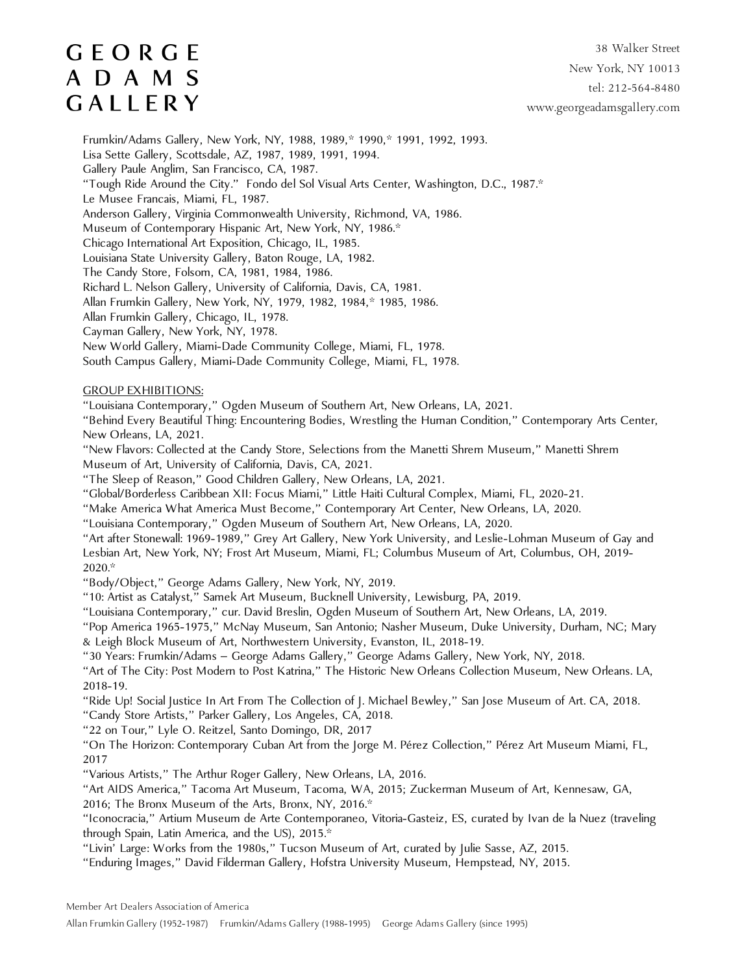38 Walker Street New York, NY 10013 tel: 212-564-8480 www.georgeadamsgallery.com

Frumkin/Adams Gallery, New York, NY, 1988, 1989,\* 1990,\* 1991, 1992, 1993. Lisa Sette Gallery, Scottsdale, AZ, 1987, 1989, 1991, 1994. Gallery Paule Anglim, San Francisco, CA, 1987. "Tough Ride Around the City." Fondo del Sol Visual Arts Center, Washington, D.C., 1987.\* Le Musee Francais, Miami, FL, 1987. Anderson Gallery, Virginia Commonwealth University, Richmond, VA, 1986. Museum of Contemporary Hispanic Art, New York, NY, 1986.\* Chicago International Art Exposition, Chicago, IL, 1985. Louisiana State University Gallery, Baton Rouge, LA, 1982. The Candy Store, Folsom, CA, 1981, 1984, 1986. Richard L. Nelson Gallery, University of California, Davis, CA, 1981. Allan Frumkin Gallery, New York, NY, 1979, 1982, 1984,\* 1985, 1986. Allan Frumkin Gallery, Chicago, IL, 1978. Cayman Gallery, New York, NY, 1978. New World Gallery, Miami-Dade Community College, Miami, FL, 1978. South Campus Gallery, Miami-Dade Community College, Miami, FL, 1978. GROUP EXHIBITIONS: "Louisiana Contemporary," Ogden Museum of Southern Art, New Orleans, LA, 2021. "Behind Every Beautiful Thing: Encountering Bodies, Wrestling the Human Condition," Contemporary Arts Center, New Orleans, LA, 2021. "New Flavors: Collected at the Candy Store, Selections from the Manetti Shrem Museum," Manetti Shrem

Museum of Art, University of California, Davis, CA, 2021.

"The Sleep of Reason," Good Children Gallery, New Orleans, LA, 2021.

"Global/Borderless Caribbean XII: Focus Miami," Little Haiti Cultural Complex, Miami, FL, 2020-21.

"Make America What America Must Become," Contemporary Art Center, New Orleans, LA, 2020.

"Louisiana Contemporary," Ogden Museum of Southern Art, New Orleans, LA, 2020.

"Art after Stonewall: 1969-1989," Grey Art Gallery, New York University, and Leslie-Lohman Museum of Gay and Lesbian Art, New York, NY; Frost Art Museum, Miami, FL; Columbus Museum of Art, Columbus, OH, 2019- 2020.\*

"Body/Object," George Adams Gallery, New York, NY, 2019.

"10: Artist as Catalyst," Samek Art Museum, Bucknell University, Lewisburg, PA, 2019.

"Louisiana Contemporary," cur. David Breslin, Ogden Museum of Southern Art, New Orleans, LA, 2019.

"Pop America 1965-1975," McNay Museum, San Antonio; Nasher Museum, Duke University, Durham, NC; Mary & Leigh Block Museum of Art, Northwestern University, Evanston, IL, 2018-19.

"30 Years: Frumkin/Adams – George Adams Gallery," George Adams Gallery, New York, NY, 2018.

"Art of The City: Post Modern to Post Katrina," The Historic New Orleans Collection Museum, New Orleans. LA, 2018-19.

"Ride Up! Social Justice In Art From The Collection of J. Michael Bewley," San Jose Museum of Art. CA, 2018.

"Candy Store Artists," Parker Gallery, Los Angeles, CA, 2018.

"22 on Tour," Lyle O. Reitzel, Santo Domingo, DR, 2017

"On The Horizon: Contemporary Cuban Art from the Jorge M. Pérez Collection," Pérez Art Museum Miami, FL, 2017

"Various Artists," The Arthur Roger Gallery, New Orleans, LA, 2016.

"Art AIDS America," Tacoma Art Museum, Tacoma, WA, 2015; Zuckerman Museum of Art, Kennesaw, GA, 2016; The Bronx Museum of the Arts, Bronx, NY, 2016.\*

"Iconocracia," Artium Museum de Arte Contemporaneo, Vitoria-Gasteiz, ES, curated by Ivan de la Nuez (traveling through Spain, Latin America, and the US), 2015.\*

"Livin' Large: Works from the 1980s," Tucson Museum of Art, curated by Julie Sasse, AZ, 2015.

"Enduring Images," David Filderman Gallery, Hofstra University Museum, Hempstead, NY, 2015.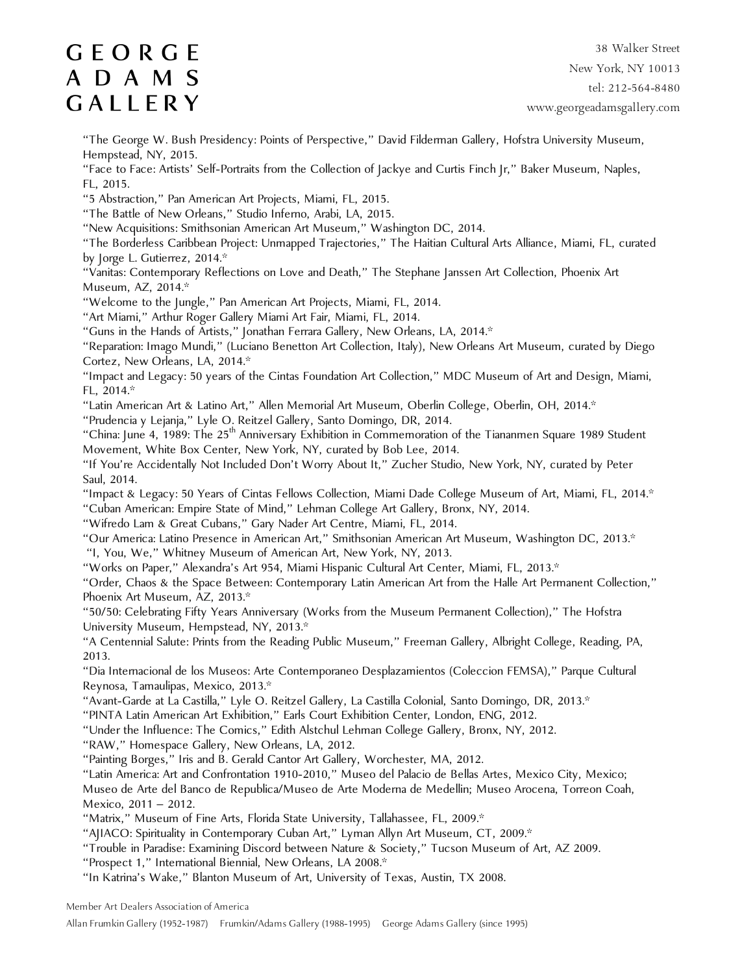38 Walker Street New York, NY 10013 tel: 212-564-8480 www.georgeadamsgallery.com

"The George W. Bush Presidency: Points of Perspective," David Filderman Gallery, Hofstra University Museum, Hempstead, NY, 2015.

"Face to Face: Artists' Self-Portraits from the Collection of Jackye and Curtis Finch Jr," Baker Museum, Naples, FL, 2015.

"5 Abstraction," Pan American Art Projects, Miami, FL, 2015.

"The Battle of New Orleans," Studio Inferno, Arabi, LA, 2015.

"New Acquisitions: Smithsonian American Art Museum," Washington DC, 2014.

"The Borderless Caribbean Project: Unmapped Trajectories," The Haitian Cultural Arts Alliance, Miami, FL, curated by Jorge L. Gutierrez, 2014.\*

"Vanitas: Contemporary Reflections on Love and Death," The Stephane Janssen Art Collection, Phoenix Art Museum, AZ, 2014.\*

"Welcome to the Jungle," Pan American Art Projects, Miami, FL, 2014.

"Art Miami," Arthur Roger Gallery Miami Art Fair, Miami, FL, 2014.

"Guns in the Hands of Artists," Jonathan Ferrara Gallery, New Orleans, LA, 2014.\*

"Reparation: Imago Mundi," (Luciano Benetton Art Collection, Italy), New Orleans Art Museum, curated by Diego Cortez, New Orleans, LA, 2014.\*

"Impact and Legacy: 50 years of the Cintas Foundation Art Collection," MDC Museum of Art and Design, Miami, FL, 2014.\*

"Latin American Art & Latino Art," Allen Memorial Art Museum, Oberlin College, Oberlin, OH, 2014.\*

"Prudencia y Lejanja," Lyle O. Reitzel Gallery, Santo Domingo, DR, 2014.

"China: June 4, 1989: The 25<sup>th</sup> Anniversary Exhibition in Commemoration of the Tiananmen Square 1989 Student Movement, White Box Center, New York, NY, curated by Bob Lee, 2014.

"If You're Accidentally Not Included Don't Worry About It," Zucher Studio, New York, NY, curated by Peter Saul, 2014.

"Impact & Legacy: 50 Years of Cintas Fellows Collection, Miami Dade College Museum of Art, Miami, FL, 2014.\*

"Cuban American: Empire State of Mind," Lehman College Art Gallery, Bronx, NY, 2014.

"Wifredo Lam & Great Cubans," Gary Nader Art Centre, Miami, FL, 2014.

"Our America: Latino Presence in American Art," Smithsonian American Art Museum, Washington DC, 2013.\* "I, You, We," Whitney Museum of American Art, New York, NY, 2013.

"Works on Paper," Alexandra's Art 954, Miami Hispanic Cultural Art Center, Miami, FL, 2013.\*

"Order, Chaos & the Space Between: Contemporary Latin American Art from the Halle Art Permanent Collection," Phoenix Art Museum, AZ, 2013.\*

"50/50: Celebrating Fifty Years Anniversary (Works from the Museum Permanent Collection)," The Hofstra University Museum, Hempstead, NY, 2013.\*

"A Centennial Salute: Prints from the Reading Public Museum," Freeman Gallery, Albright College, Reading, PA, 2013.

"Dia Internacional de los Museos: Arte Contemporaneo Desplazamientos (Coleccion FEMSA)," Parque Cultural Reynosa, Tamaulipas, Mexico, 2013.\*

"Avant-Garde at La Castilla," Lyle O. Reitzel Gallery, La Castilla Colonial, Santo Domingo, DR, 2013.\*

"PINTA Latin American Art Exhibition," Earls Court Exhibition Center, London, ENG, 2012.

"Under the Influence: The Comics," Edith Alstchul Lehman College Gallery, Bronx, NY, 2012.

"RAW," Homespace Gallery, New Orleans, LA, 2012.

"Painting Borges," Iris and B. Gerald Cantor Art Gallery, Worchester, MA, 2012.

"Latin America: Art and Confrontation 1910-2010," Museo del Palacio de Bellas Artes, Mexico City, Mexico; Museo de Arte del Banco de Republica/Museo de Arte Moderna de Medellin; Museo Arocena, Torreon Coah, Mexico, 2011 – 2012.

"Matrix," Museum of Fine Arts, Florida State University, Tallahassee, FL, 2009.\*

"AJIACO: Spirituality in Contemporary Cuban Art," Lyman Allyn Art Museum, CT, 2009.\*

"Trouble in Paradise: Examining Discord between Nature & Society," Tucson Museum of Art, AZ 2009.

"Prospect 1," International Biennial, New Orleans, LA 2008.\*

"In Katrina's Wake," Blanton Museum of Art, University of Texas, Austin, TX 2008.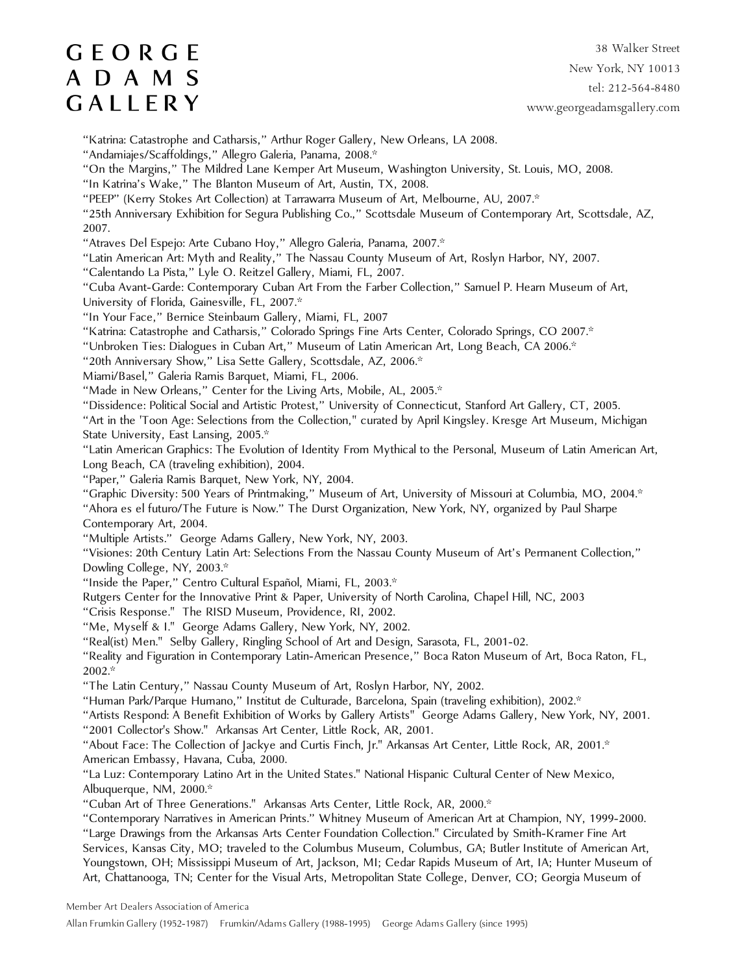38 Walker Street New York, NY 10013 tel: 212-564-8480 www.georgeadamsgallery.com

"Katrina: Catastrophe and Catharsis," Arthur Roger Gallery, New Orleans, LA 2008.

"Andamiajes/Scaffoldings," Allegro Galeria, Panama, 2008.\*

"On the Margins," The Mildred Lane Kemper Art Museum, Washington University, St. Louis, MO, 2008.

"In Katrina's Wake," The Blanton Museum of Art, Austin, TX, 2008.

"PEEP" (Kerry Stokes Art Collection) at Tarrawarra Museum of Art, Melbourne, AU, 2007.\*

"25th Anniversary Exhibition for Segura Publishing Co.," Scottsdale Museum of Contemporary Art, Scottsdale, AZ, 2007.

"Atraves Del Espejo: Arte Cubano Hoy," Allegro Galeria, Panama, 2007.\*

"Latin American Art: Myth and Reality," The Nassau County Museum of Art, Roslyn Harbor, NY, 2007.

"Calentando La Pista," Lyle O. Reitzel Gallery, Miami, FL, 2007.

"Cuba Avant-Garde: Contemporary Cuban Art From the Farber Collection," Samuel P. Hearn Museum of Art, University of Florida, Gainesville, FL, 2007.\*

"In Your Face," Bernice Steinbaum Gallery, Miami, FL, 2007

"Katrina: Catastrophe and Catharsis," Colorado Springs Fine Arts Center, Colorado Springs, CO 2007.\*

"Unbroken Ties: Dialogues in Cuban Art," Museum of Latin American Art, Long Beach, CA 2006.\*

"20th Anniversary Show," Lisa Sette Gallery, Scottsdale, AZ, 2006.\*

Miami/Basel," Galeria Ramis Barquet, Miami, FL, 2006.

"Made in New Orleans," Center for the Living Arts, Mobile, AL, 2005.<sup>\*</sup>

"Dissidence: Political Social and Artistic Protest," University of Connecticut, Stanford Art Gallery, CT, 2005.

"Art in the 'Toon Age: Selections from the Collection," curated by April Kingsley. Kresge Art Museum, Michigan State University, East Lansing, 2005.\*

"Latin American Graphics: The Evolution of Identity From Mythical to the Personal, Museum of Latin American Art, Long Beach, CA (traveling exhibition), 2004.

"Paper," Galeria Ramis Barquet, New York, NY, 2004.

"Graphic Diversity: 500 Years of Printmaking," Museum of Art, University of Missouri at Columbia, MO, 2004.\*

"Ahora es el futuro/The Future is Now." The Durst Organization, New York, NY, organized by Paul Sharpe Contemporary Art, 2004.

"Multiple Artists." George Adams Gallery, New York, NY, 2003.

"Visiones: 20th Century Latin Art: Selections From the Nassau County Museum of Art's Permanent Collection," Dowling College, NY, 2003.\*

"Inside the Paper," Centro Cultural Español, Miami, FL, 2003.\*

Rutgers Center for the Innovative Print & Paper, University of North Carolina, Chapel Hill, NC, 2003

"Crisis Response." The RISD Museum, Providence, RI, 2002.

"Me, Myself & I." George Adams Gallery, New York, NY, 2002.

"Real(ist) Men." Selby Gallery, Ringling School of Art and Design, Sarasota, FL, 2001-02.

"Reality and Figuration in Contemporary Latin-American Presence," Boca Raton Museum of Art, Boca Raton, FL, 2002.\*

"The Latin Century," Nassau County Museum of Art, Roslyn Harbor, NY, 2002.

"Human Park/Parque Humano," Institut de Culturade, Barcelona, Spain (traveling exhibition), 2002.\*

"Artists Respond: A Benefit Exhibition of Works by Gallery Artists" George Adams Gallery, New York, NY, 2001.

"2001 Collector's Show." Arkansas Art Center, Little Rock, AR, 2001.

"About Face: The Collection of Jackye and Curtis Finch, Jr." Arkansas Art Center, Little Rock, AR, 2001.\* American Embassy, Havana, Cuba, 2000.

"La Luz: Contemporary Latino Art in the United States." National Hispanic Cultural Center of New Mexico, Albuquerque, NM, 2000.\*

"Cuban Art of Three Generations." Arkansas Arts Center, Little Rock, AR, 2000.\*

"Contemporary Narratives in American Prints." Whitney Museum of American Art at Champion, NY, 1999-2000. "Large Drawings from the Arkansas Arts Center Foundation Collection." Circulated by Smith-Kramer Fine Art Services, Kansas City, MO; traveled to the Columbus Museum, Columbus, GA; Butler Institute of American Art, Youngstown, OH; Mississippi Museum of Art, Jackson, MI; Cedar Rapids Museum of Art, IA; Hunter Museum of

Art, Chattanooga, TN; Center for the Visual Arts, Metropolitan State College, Denver, CO; Georgia Museum of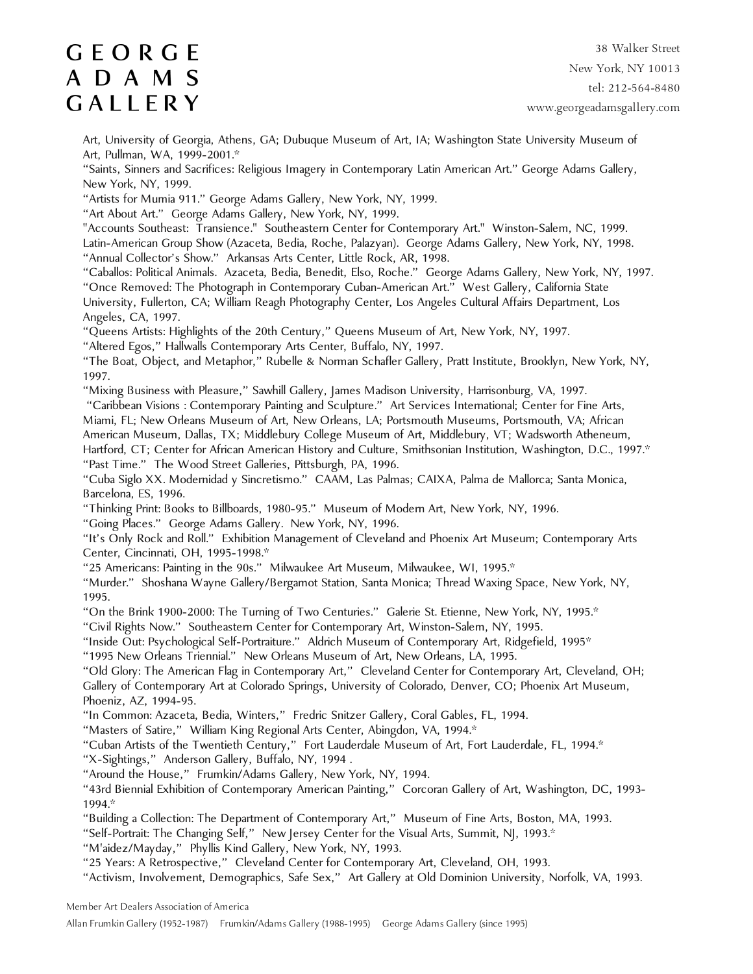38 Walker Street New York, NY 10013 tel: 212-564-8480 www.georgeadamsgallery.com

Art, University of Georgia, Athens, GA; Dubuque Museum of Art, IA; Washington State University Museum of Art, Pullman, WA, 1999-2001.\*

"Saints, Sinners and Sacrifices: Religious Imagery in Contemporary Latin American Art." George Adams Gallery, New York, NY, 1999.

"Artists for Mumia 911." George Adams Gallery, New York, NY, 1999.

"Art About Art." George Adams Gallery, New York, NY, 1999.

"Accounts Southeast: Transience." Southeastern Center for Contemporary Art." Winston-Salem, NC, 1999. Latin-American Group Show (Azaceta, Bedia, Roche, Palazyan). George Adams Gallery, New York, NY, 1998. "Annual Collector's Show." Arkansas Arts Center, Little Rock, AR, 1998.

"Caballos: Political Animals. Azaceta, Bedia, Benedit, Elso, Roche." George Adams Gallery, New York, NY, 1997. "Once Removed: The Photograph in Contemporary Cuban-American Art." West Gallery, California State University, Fullerton, CA; William Reagh Photography Center, Los Angeles Cultural Affairs Department, Los

Angeles, CA, 1997. "Queens Artists: Highlights of the 20th Century," Queens Museum of Art, New York, NY, 1997.

"Altered Egos," Hallwalls Contemporary Arts Center, Buffalo, NY, 1997.

"The Boat, Object, and Metaphor," Rubelle & Norman Schafler Gallery, Pratt Institute, Brooklyn, New York, NY, 1997.

"Mixing Business with Pleasure," Sawhill Gallery, James Madison University, Harrisonburg, VA, 1997.

 "Caribbean Visions : Contemporary Painting and Sculpture." Art Services International; Center for Fine Arts, Miami, FL; New Orleans Museum of Art, New Orleans, LA; Portsmouth Museums, Portsmouth, VA; African American Museum, Dallas, TX; Middlebury College Museum of Art, Middlebury, VT; Wadsworth Atheneum, Hartford, CT; Center for African American History and Culture, Smithsonian Institution, Washington, D.C., 1997.\* "Past Time." The Wood Street Galleries, Pittsburgh, PA, 1996.

"Cuba Siglo XX. Modernidad y Sincretismo." CAAM, Las Palmas; CAIXA, Palma de Mallorca; Santa Monica, Barcelona, ES, 1996.

"Thinking Print: Books to Billboards, 1980-95." Museum of Modern Art, New York, NY, 1996.

"Going Places." George Adams Gallery. New York, NY, 1996.

"It's Only Rock and Roll." Exhibition Management of Cleveland and Phoenix Art Museum; Contemporary Arts Center, Cincinnati, OH, 1995-1998.\*

"25 Americans: Painting in the 90s." Milwaukee Art Museum, Milwaukee, WI, 1995.\*

"Murder." Shoshana Wayne Gallery/Bergamot Station, Santa Monica; Thread Waxing Space, New York, NY, 1995.

"On the Brink 1900-2000: The Turning of Two Centuries." Galerie St. Etienne, New York, NY, 1995.\*

"Civil Rights Now." Southeastern Center for Contemporary Art, Winston-Salem, NY, 1995.

"Inside Out: Psychological Self-Portraiture." Aldrich Museum of Contemporary Art, Ridgefield, 1995\*

"1995 New Orleans Triennial." New Orleans Museum of Art, New Orleans, LA, 1995.

"Old Glory: The American Flag in Contemporary Art," Cleveland Center for Contemporary Art, Cleveland, OH; Gallery of Contemporary Art at Colorado Springs, University of Colorado, Denver, CO; Phoenix Art Museum, Phoeniz, AZ, 1994-95.

"In Common: Azaceta, Bedia, Winters," Fredric Snitzer Gallery, Coral Gables, FL, 1994.

"Masters of Satire," William King Regional Arts Center, Abingdon, VA, 1994.\*

"Cuban Artists of the Twentieth Century," Fort Lauderdale Museum of Art, Fort Lauderdale, FL, 1994.\*

"X-Sightings," Anderson Gallery, Buffalo, NY, 1994 .

"Around the House," Frumkin/Adams Gallery, New York, NY, 1994.

"43rd Biennial Exhibition of Contemporary American Painting," Corcoran Gallery of Art, Washington, DC, 1993- 1994.\*

"Building a Collection: The Department of Contemporary Art," Museum of Fine Arts, Boston, MA, 1993.

"Self-Portrait: The Changing Self," New Jersey Center for the Visual Arts, Summit, NJ, 1993.\*

"M'aidez/Mayday," Phyllis Kind Gallery, New York, NY, 1993.

"25 Years: A Retrospective," Cleveland Center for Contemporary Art, Cleveland, OH, 1993.

"Activism, Involvement, Demographics, Safe Sex," Art Gallery at Old Dominion University, Norfolk, VA, 1993.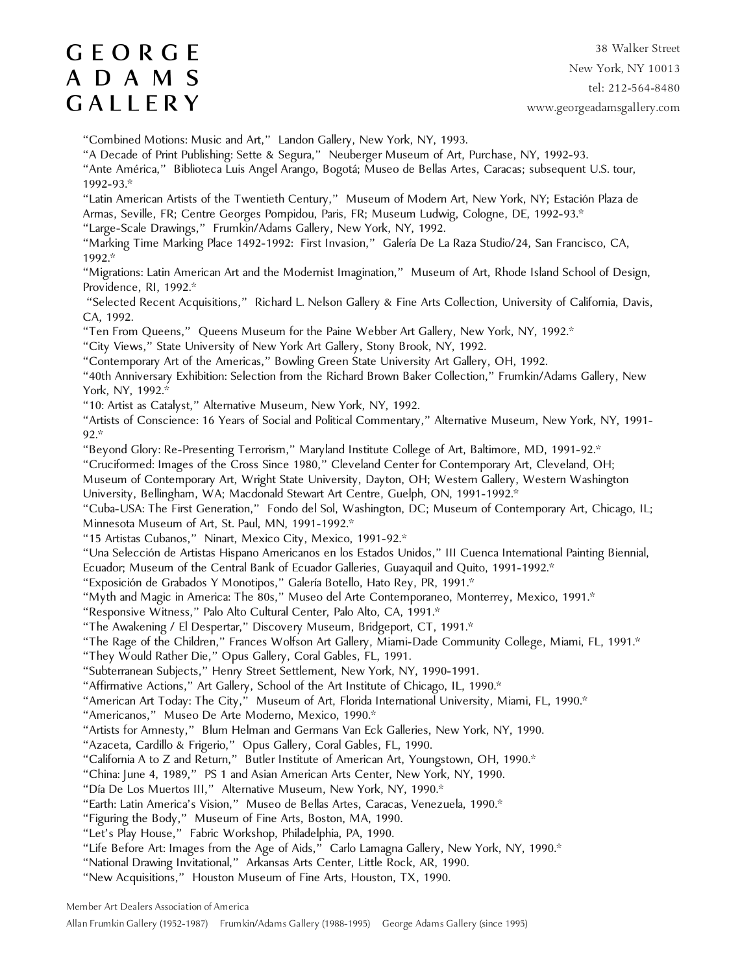38 Walker Street New York, NY 10013 tel: 212-564-8480 www.georgeadamsgallery.com

"Combined Motions: Music and Art," Landon Gallery, New York, NY, 1993.

"A Decade of Print Publishing: Sette & Segura," Neuberger Museum of Art, Purchase, NY, 1992-93.

"Ante América," Biblioteca Luis Angel Arango, Bogotá; Museo de Bellas Artes, Caracas; subsequent U.S. tour, 1992-93.\*

"Latin American Artists of the Twentieth Century," Museum of Modern Art, New York, NY; Estación Plaza de Armas, Seville, FR; Centre Georges Pompidou, Paris, FR; Museum Ludwig, Cologne, DE, 1992-93.\*

"Large-Scale Drawings," Frumkin/Adams Gallery, New York, NY, 1992.

"Marking Time Marking Place 1492-1992: First Invasion," Galería De La Raza Studio/24, San Francisco, CA, 1992.\*

"Migrations: Latin American Art and the Modernist Imagination," Museum of Art, Rhode Island School of Design, Providence, RI, 1992.\*

 "Selected Recent Acquisitions," Richard L. Nelson Gallery & Fine Arts Collection, University of California, Davis, CA, 1992.

"Ten From Queens," Queens Museum for the Paine Webber Art Gallery, New York, NY, 1992.\*

"City Views," State University of New York Art Gallery, Stony Brook, NY, 1992.

"Contemporary Art of the Americas," Bowling Green State University Art Gallery, OH, 1992.

"40th Anniversary Exhibition: Selection from the Richard Brown Baker Collection," Frumkin/Adams Gallery, New York, NY, 1992.\*

"10: Artist as Catalyst," Alternative Museum, New York, NY, 1992.

"Artists of Conscience: 16 Years of Social and Political Commentary," Alternative Museum, New York, NY, 1991- 92.\*

"Beyond Glory: Re-Presenting Terrorism," Maryland Institute College of Art, Baltimore, MD, 1991-92.\*

"Cruciformed: Images of the Cross Since 1980," Cleveland Center for Contemporary Art, Cleveland, OH;

Museum of Contemporary Art, Wright State University, Dayton, OH; Western Gallery, Western Washington University, Bellingham, WA; Macdonald Stewart Art Centre, Guelph, ON, 1991-1992.\*

"Cuba-USA: The First Generation," Fondo del Sol, Washington, DC; Museum of Contemporary Art, Chicago, IL; Minnesota Museum of Art, St. Paul, MN, 1991-1992.\*

"15 Artistas Cubanos," Ninart, Mexico City, Mexico, 1991-92.\*

"Una Selección de Artistas Hispano Americanos en los Estados Unidos," III Cuenca International Painting Biennial,

Ecuador; Museum of the Central Bank of Ecuador Galleries, Guayaquil and Quito, 1991-1992.\*

"Exposición de Grabados Y Monotipos," Galería Botello, Hato Rey, PR, 1991.\*

"Myth and Magic in America: The 80s," Museo del Arte Contemporaneo, Monterrey, Mexico, 1991.\*

"Responsive Witness," Palo Alto Cultural Center, Palo Alto, CA, 1991.\*

"The Awakening / El Despertar," Discovery Museum, Bridgeport, CT, 1991.\*

"The Rage of the Children," Frances Wolfson Art Gallery, Miami-Dade Community College, Miami, FL, 1991.\*

"They Would Rather Die," Opus Gallery, Coral Gables, FL, 1991.

"Subterranean Subjects," Henry Street Settlement, New York, NY, 1990-1991.

"Affirmative Actions," Art Gallery, School of the Art Institute of Chicago, IL, 1990.\*

"American Art Today: The City," Museum of Art, Florida International University, Miami, FL, 1990.\*

"Americanos," Museo De Arte Moderno, Mexico, 1990.\*

"Artists for Amnesty," Blum Helman and Germans Van Eck Galleries, New York, NY, 1990.

"Azaceta, Cardillo & Frigerio," Opus Gallery, Coral Gables, FL, 1990.

"California A to Z and Return," Butler Institute of American Art, Youngstown, OH, 1990.\*

"China: June 4, 1989," PS 1 and Asian American Arts Center, New York, NY, 1990.

"Día De Los Muertos III," Alternative Museum, New York, NY, 1990.\*

"Earth: Latin America's Vision," Museo de Bellas Artes, Caracas, Venezuela, 1990.\*

"Figuring the Body," Museum of Fine Arts, Boston, MA, 1990.

"Let's Play House," Fabric Workshop, Philadelphia, PA, 1990.

"Life Before Art: Images from the Age of Aids," Carlo Lamagna Gallery, New York, NY, 1990.\*

"National Drawing Invitational," Arkansas Arts Center, Little Rock, AR, 1990.

"New Acquisitions," Houston Museum of Fine Arts, Houston, TX, 1990.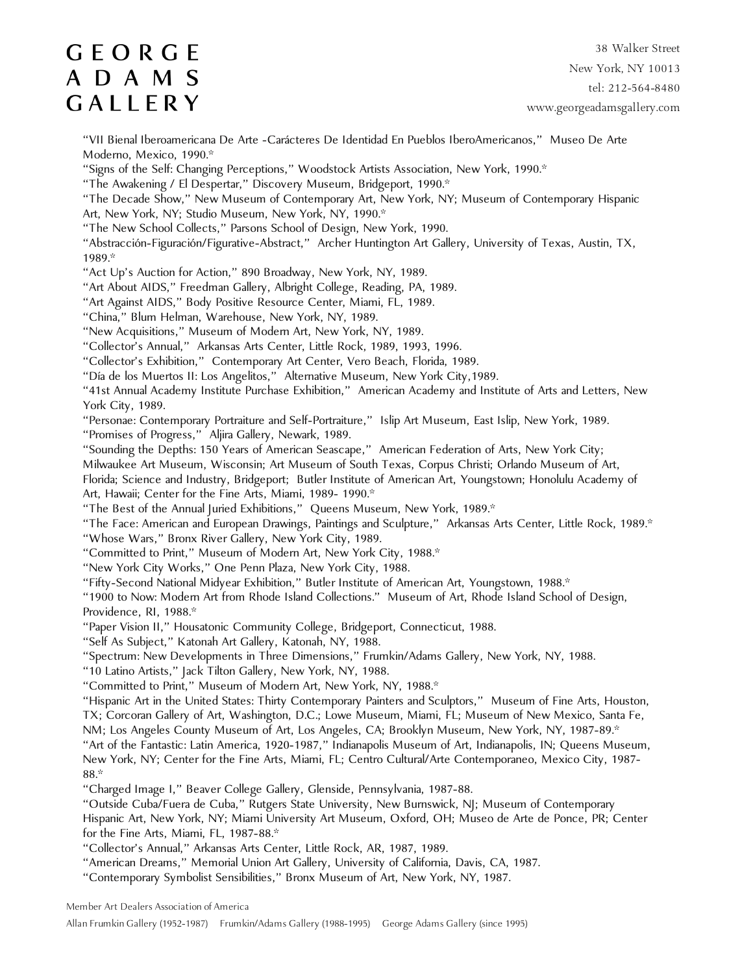38 Walker Street New York, NY 10013 tel: 212-564-8480 www.georgeadamsgallery.com

"VII Bienal Iberoamericana De Arte -Carácteres De Identidad En Pueblos IberoAmericanos," Museo De Arte Moderno, Mexico, 1990.\*

"Signs of the Self: Changing Perceptions," Woodstock Artists Association, New York, 1990.\*

"The Awakening / El Despertar," Discovery Museum, Bridgeport, 1990.\*

"The Decade Show," New Museum of Contemporary Art, New York, NY; Museum of Contemporary Hispanic Art, New York, NY; Studio Museum, New York, NY, 1990.\*

"The New School Collects," Parsons School of Design, New York, 1990.

"Abstracción-Figuración/Figurative-Abstract," Archer Huntington Art Gallery, University of Texas, Austin, TX, 1989.\*

"Act Up's Auction for Action," 890 Broadway, New York, NY, 1989.

"Art About AIDS," Freedman Gallery, Albright College, Reading, PA, 1989.

"Art Against AIDS," Body Positive Resource Center, Miami, FL, 1989.

"China," Blum Helman, Warehouse, New York, NY, 1989.

"New Acquisitions," Museum of Modern Art, New York, NY, 1989.

"Collector's Annual," Arkansas Arts Center, Little Rock, 1989, 1993, 1996.

"Collector's Exhibition," Contemporary Art Center, Vero Beach, Florida, 1989.

"Día de los Muertos II: Los Angelitos," Alternative Museum, New York City,1989.

"41st Annual Academy Institute Purchase Exhibition," American Academy and Institute of Arts and Letters, New York City, 1989.

"Personae: Contemporary Portraiture and Self-Portraiture," Islip Art Museum, East Islip, New York, 1989.

"Promises of Progress," Aljira Gallery, Newark, 1989.

"Sounding the Depths: 150 Years of American Seascape," American Federation of Arts, New York City;

Milwaukee Art Museum, Wisconsin; Art Museum of South Texas, Corpus Christi; Orlando Museum of Art,

Florida; Science and Industry, Bridgeport; Butler Institute of American Art, Youngstown; Honolulu Academy of Art, Hawaii; Center for the Fine Arts, Miami, 1989- 1990.\*

"The Best of the Annual Juried Exhibitions," Queens Museum, New York, 1989.\*

"The Face: American and European Drawings, Paintings and Sculpture," Arkansas Arts Center, Little Rock, 1989.\*

"Whose Wars," Bronx River Gallery, New York City, 1989.

"Committed to Print," Museum of Modern Art, New York City, 1988.\*

"New York City Works," One Penn Plaza, New York City, 1988.

"Fifty-Second National Midyear Exhibition," Butler Institute of American Art, Youngstown, 1988.\*

"1900 to Now: Modern Art from Rhode Island Collections." Museum of Art, Rhode Island School of Design, Providence, RI, 1988.\*

"Paper Vision II," Housatonic Community College, Bridgeport, Connecticut, 1988.

"Self As Subject," Katonah Art Gallery, Katonah, NY, 1988.

"Spectrum: New Developments in Three Dimensions," Frumkin/Adams Gallery, New York, NY, 1988.

"10 Latino Artists," Jack Tilton Gallery, New York, NY, 1988.

"Committed to Print," Museum of Modern Art, New York, NY, 1988.\*

"Hispanic Art in the United States: Thirty Contemporary Painters and Sculptors," Museum of Fine Arts, Houston, TX; Corcoran Gallery of Art, Washington, D.C.; Lowe Museum, Miami, FL; Museum of New Mexico, Santa Fe, NM; Los Angeles County Museum of Art, Los Angeles, CA; Brooklyn Museum, New York, NY, 1987-89.\*

"Art of the Fantastic: Latin America, 1920-1987," Indianapolis Museum of Art, Indianapolis, IN; Queens Museum, New York, NY; Center for the Fine Arts, Miami, FL; Centro Cultural/Arte Contemporaneo, Mexico City, 1987- 88.\*

"Charged Image I," Beaver College Gallery, Glenside, Pennsylvania, 1987-88.

"Outside Cuba/Fuera de Cuba," Rutgers State University, New Burnswick, NJ; Museum of Contemporary Hispanic Art, New York, NY; Miami University Art Museum, Oxford, OH; Museo de Arte de Ponce, PR; Center for the Fine Arts, Miami, FL, 1987-88.\*

"Collector's Annual," Arkansas Arts Center, Little Rock, AR, 1987, 1989.

"American Dreams," Memorial Union Art Gallery, University of California, Davis, CA, 1987.

"Contemporary Symbolist Sensibilities," Bronx Museum of Art, New York, NY, 1987.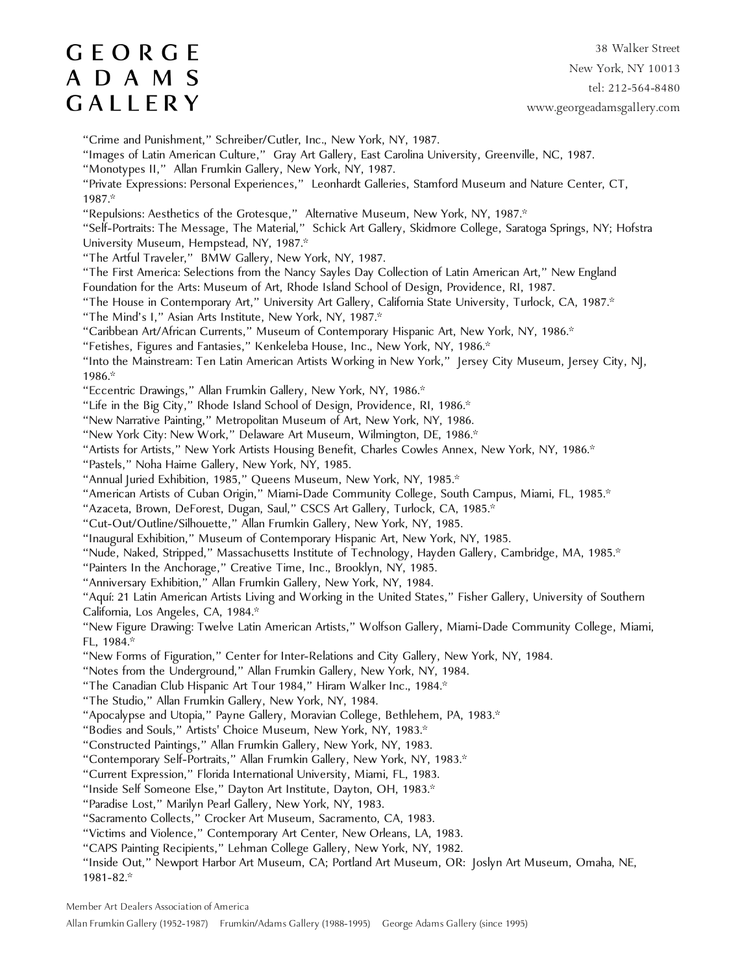38 Walker Street New York, NY 10013 tel: 212-564-8480 www.georgeadamsgallery.com

"Crime and Punishment," Schreiber/Cutler, Inc., New York, NY, 1987.

"Images of Latin American Culture," Gray Art Gallery, East Carolina University, Greenville, NC, 1987.

"Monotypes II," Allan Frumkin Gallery, New York, NY, 1987.

"Private Expressions: Personal Experiences," Leonhardt Galleries, Stamford Museum and Nature Center, CT, 1987.\*

"Repulsions: Aesthetics of the Grotesque," Alternative Museum, New York, NY, 1987.\*

"Self-Portraits: The Message, The Material," Schick Art Gallery, Skidmore College, Saratoga Springs, NY; Hofstra University Museum, Hempstead, NY, 1987.\*

"The Artful Traveler," BMW Gallery, New York, NY, 1987.

"The First America: Selections from the Nancy Sayles Day Collection of Latin American Art," New England Foundation for the Arts: Museum of Art, Rhode Island School of Design, Providence, RI, 1987.

"The House in Contemporary Art," University Art Gallery, California State University, Turlock, CA, 1987.\*

"The Mind's I," Asian Arts Institute, New York, NY, 1987.\*

"Caribbean Art/African Currents," Museum of Contemporary Hispanic Art, New York, NY, 1986.\*

"Fetishes, Figures and Fantasies," Kenkeleba House, Inc., New York, NY, 1986.\*

"Into the Mainstream: Ten Latin American Artists Working in New York," Jersey City Museum, Jersey City, NJ, 1986.\*

"Eccentric Drawings," Allan Frumkin Gallery, New York, NY, 1986.\*

"Life in the Big City," Rhode Island School of Design, Providence, RI, 1986.\*

"New Narrative Painting," Metropolitan Museum of Art, New York, NY, 1986.

"New York City: New Work," Delaware Art Museum, Wilmington, DE, 1986.\*

"Artists for Artists," New York Artists Housing Benefit, Charles Cowles Annex, New York, NY, 1986.\*

"Pastels," Noha Haime Gallery, New York, NY, 1985.

"Annual Juried Exhibition, 1985," Queens Museum, New York, NY, 1985.\*

"American Artists of Cuban Origin," Miami-Dade Community College, South Campus, Miami, FL, 1985.\*

"Azaceta, Brown, DeForest, Dugan, Saul," CSCS Art Gallery, Turlock, CA, 1985.\*

"Cut-Out/Outline/Silhouette," Allan Frumkin Gallery, New York, NY, 1985.

"Inaugural Exhibition," Museum of Contemporary Hispanic Art, New York, NY, 1985.

"Nude, Naked, Stripped," Massachusetts Institute of Technology, Hayden Gallery, Cambridge, MA, 1985.\*

"Painters In the Anchorage," Creative Time, Inc., Brooklyn, NY, 1985.

"Anniversary Exhibition," Allan Frumkin Gallery, New York, NY, 1984.

"Aquí: 21 Latin American Artists Living and Working in the United States," Fisher Gallery, University of Southern California, Los Angeles, CA, 1984.\*

"New Figure Drawing: Twelve Latin American Artists," Wolfson Gallery, Miami-Dade Community College, Miami, FL, 1984.\*

"New Forms of Figuration," Center for Inter-Relations and City Gallery, New York, NY, 1984.

"Notes from the Underground," Allan Frumkin Gallery, New York, NY, 1984.

"The Canadian Club Hispanic Art Tour 1984," Hiram Walker Inc., 1984.\*

"The Studio," Allan Frumkin Gallery, New York, NY, 1984.

"Apocalypse and Utopia," Payne Gallery, Moravian College, Bethlehem, PA, 1983.\*

"Bodies and Souls," Artists' Choice Museum, New York, NY, 1983.\*

"Constructed Paintings," Allan Frumkin Gallery, New York, NY, 1983.

"Contemporary Self-Portraits," Allan Frumkin Gallery, New York, NY, 1983.\*

"Current Expression," Florida International University, Miami, FL, 1983.

"Inside Self Someone Else," Dayton Art Institute, Dayton, OH, 1983.\*

"Paradise Lost," Marilyn Pearl Gallery, New York, NY, 1983.

"Sacramento Collects," Crocker Art Museum, Sacramento, CA, 1983.

"Victims and Violence," Contemporary Art Center, New Orleans, LA, 1983.

"CAPS Painting Recipients," Lehman College Gallery, New York, NY, 1982.

"Inside Out," Newport Harbor Art Museum, CA; Portland Art Museum, OR: Joslyn Art Museum, Omaha, NE, 1981-82.\*

Member Art Dealers Association of America

Allan Frumkin Gallery (1952-1987) Frumkin/Adams Gallery (1988-1995) George Adams Gallery (since 1995)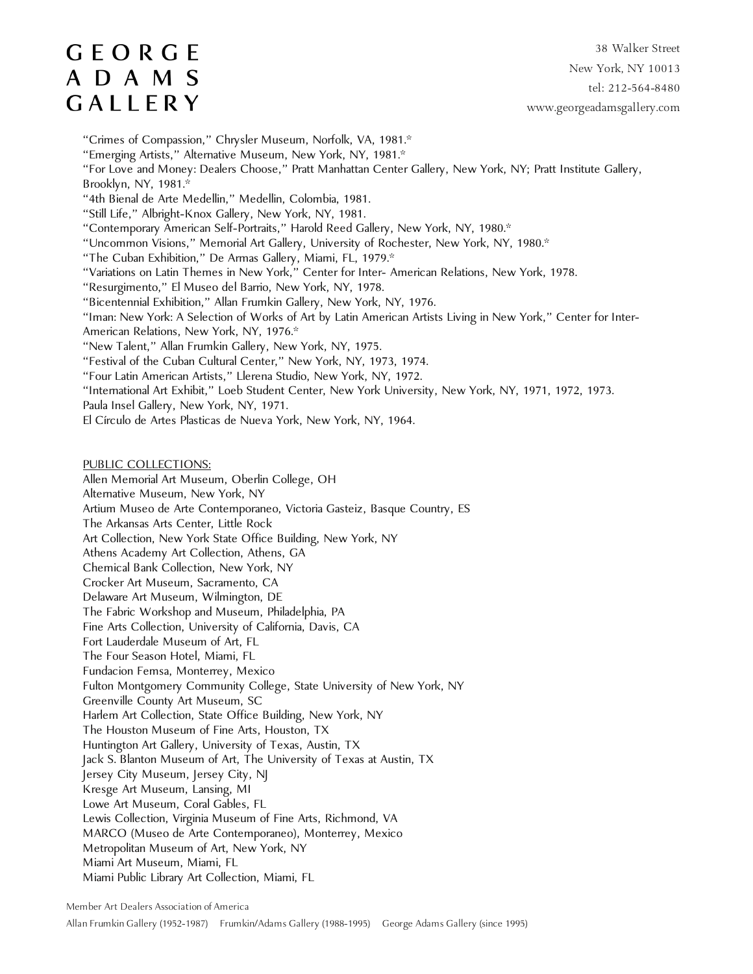38 Walker Street New York, NY 10013 tel: 212-564-8480 www.georgeadamsgallery.com

"Crimes of Compassion," Chrysler Museum, Norfolk, VA, 1981.\*

"Emerging Artists," Alternative Museum, New York, NY, 1981.\*

"For Love and Money: Dealers Choose," Pratt Manhattan Center Gallery, New York, NY; Pratt Institute Gallery, Brooklyn, NY, 1981.\*

- "4th Bienal de Arte Medellin," Medellin, Colombia, 1981.
- "Still Life," Albright-Knox Gallery, New York, NY, 1981.
- "Contemporary American Self-Portraits," Harold Reed Gallery, New York, NY, 1980.\*

"Uncommon Visions," Memorial Art Gallery, University of Rochester, New York, NY, 1980.\*

- "The Cuban Exhibition," De Armas Gallery, Miami, FL, 1979.\*
- "Variations on Latin Themes in New York," Center for Inter- American Relations, New York, 1978.
- "Resurgimento," El Museo del Barrio, New York, NY, 1978.
- "Bicentennial Exhibition," Allan Frumkin Gallery, New York, NY, 1976.

"Iman: New York: A Selection of Works of Art by Latin American Artists Living in New York," Center for Inter-American Relations, New York, NY, 1976.\*

- "New Talent," Allan Frumkin Gallery, New York, NY, 1975.
- "Festival of the Cuban Cultural Center," New York, NY, 1973, 1974.

"Four Latin American Artists," Llerena Studio, New York, NY, 1972.

"International Art Exhibit," Loeb Student Center, New York University, New York, NY, 1971, 1972, 1973.

- Paula Insel Gallery, New York, NY, 1971.
- El Círculo de Artes Plasticas de Nueva York, New York, NY, 1964.

#### PUBLIC COLLECTIONS:

Allen Memorial Art Museum, Oberlin College, OH

Alternative Museum, New York, NY

Artium Museo de Arte Contemporaneo, Victoria Gasteiz, Basque Country, ES

The Arkansas Arts Center, Little Rock

Art Collection, New York State Office Building, New York, NY

- Athens Academy Art Collection, Athens, GA
- Chemical Bank Collection, New York, NY
- Crocker Art Museum, Sacramento, CA
- Delaware Art Museum, Wilmington, DE
- The Fabric Workshop and Museum, Philadelphia, PA
- Fine Arts Collection, University of California, Davis, CA
- Fort Lauderdale Museum of Art, FL
- The Four Season Hotel, Miami, FL
- Fundacion Femsa, Monterrey, Mexico
- Fulton Montgomery Community College, State University of New York, NY
- Greenville County Art Museum, SC

Harlem Art Collection, State Office Building, New York, NY

The Houston Museum of Fine Arts, Houston, TX

Huntington Art Gallery, University of Texas, Austin, TX

Jack S. Blanton Museum of Art, The University of Texas at Austin, TX

Jersey City Museum, Jersey City, NJ

Kresge Art Museum, Lansing, MI

Lowe Art Museum, Coral Gables, FL

Lewis Collection, Virginia Museum of Fine Arts, Richmond, VA

MARCO (Museo de Arte Contemporaneo), Monterrey, Mexico

Metropolitan Museum of Art, New York, NY

Miami Public Library Art Collection, Miami, FL

Miami Art Museum, Miami, FL